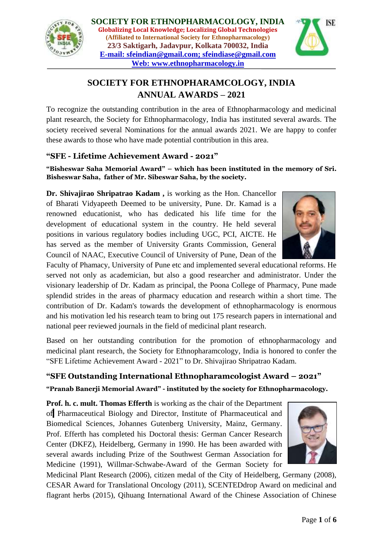



# **SOCIETY FOR ETHNOPHARAMCOLOGY, INDIA ANNUAL AWARDS – 2021**

To recognize the outstanding contribution in the area of Ethnopharmacology and medicinal plant research, the Society for Ethnopharmacology, India has instituted several awards. The society received several Nominations for the annual awards 2021. We are happy to confer these awards to those who have made potential contribution in this area.

### **"SFE - Lifetime Achievement Award - 2021"**

**"Bisheswar Saha Memorial Award" – which has been instituted in the memory of Sri. Bisheswar Saha, father of Mr. Sibeswar Saha, by the society.**

**Dr. Shivajirao Shripatrao Kadam ,** is working as the Hon. Chancellor of Bharati Vidyapeeth Deemed to be university, Pune. Dr. Kamad is a renowned educationist, who has dedicated his life time for the development of educational system in the country. He held several positions in various regulatory bodies including UGC, PCI, AICTE. He has served as the member of University Grants Commission, General Council of NAAC, Executive Council of University of Pune, Dean of the

Faculty of Phamacy, University of Pune etc and implemented several educational reforms. He served not only as academician, but also a good researcher and administrator. Under the visionary leadership of Dr. Kadam as principal, the Poona College of Pharmacy, Pune made splendid strides in the areas of pharmacy education and research within a short time. The contribution of Dr. Kadam's towards the development of ethnopharmacology is enormous and his motivation led his research team to bring out 175 research papers in international and national peer reviewed journals in the field of medicinal plant research.

Based on her outstanding contribution for the promotion of ethnopharmacology and medicinal plant research, the Society for Ethnopharamcology, India is honored to confer the "SFE Lifetime Achievement Award - 2021" to Dr. Shivajirao Shripatrao Kadam.

# **"SFE Outstanding International Ethnopharamcologist Award – 2021"**

### **"Pranab Banerji Memorial Award" - instituted by the society for Ethnopharmacology.**

**Prof. h. c. mult. Thomas Efferth** is working as the chair of the Department of Pharmaceutical Biology and Director, Institute of Pharmaceutical and Biomedical Sciences, Johannes Gutenberg University, Mainz, Germany. Prof. Efferth has completed his Doctoral thesis: German Cancer Research Center (DKFZ), Heidelberg, Germany in 1990. He has been awarded with several awards including Prize of the Southwest German Association for Medicine (1991), Willmar-Schwabe-Award of the German Society for



Medicinal Plant Research (2006), citizen medal of the City of Heidelberg, Germany (2008), CESAR Award for Translational Oncology (2011), SCENTEDdrop Award on medicinal and flagrant herbs (2015), Qihuang International Award of the Chinese Association of Chinese

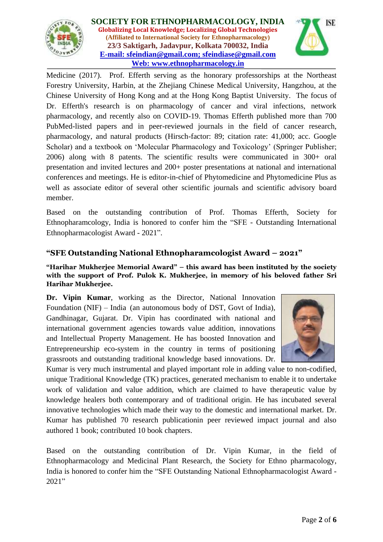

**SOCIETY FOR ETHNOPHARMACOLOGY, INDIA Globalizing Local Knowledge; Localizing Global Technologies (Affiliated to International Society for Ethnopharmacology) 23/3 Saktigarh, Jadavpur, Kolkata 700032, India E-mail: [sfeindian@gmail.com;](mailto:sfeindian@gmail.com) sfeindiase@gmail.com Web: [www.ethnopharmacology.in](http://www.ethnopharmacology.in/)**



Medicine (2017). Prof. Efferth serving as the honorary professorships at the Northeast Forestry University, Harbin, at the Zhejiang Chinese Medical University, Hangzhou, at the Chinese University of Hong Kong and at the Hong Kong Baptist University. The focus of Dr. Efferth's research is on pharmacology of cancer and viral infections, network pharmacology, and recently also on COVID-19. Thomas Efferth published more than 700 PubMed-listed papers and in peer-reviewed journals in the field of cancer research, pharmacology, and natural products (Hirsch-factor: 89; citation rate: 41,000; acc. Google Scholar) and a textbook on 'Molecular Pharmacology and Toxicology' (Springer Publisher; 2006) along with 8 patents. The scientific results were communicated in 300+ oral presentation and invited lectures and 200+ poster presentations at national and international conferences and meetings. He is editor-in-chief of Phytomedicine and Phytomedicine Plus as well as associate editor of several other scientific journals and scientific advisory board member.

Based on the outstanding contribution of Prof. Thomas Efferth, Society for Ethnopharamcology, India is honored to confer him the "SFE - Outstanding International Ethnopharmacologist Award - 2021".

# **"SFE Outstanding National Ethnopharamcologist Award – 2021"**

#### **"Harihar Mukherjee Memorial Award" – this award has been instituted by the society with the support of Prof. Pulok K. Mukherjee, in memory of his beloved father Sri Harihar Mukherjee.**

**Dr. Vipin Kumar**, working as the Director, National Innovation Foundation (NIF) – India (an autonomous body of DST, Govt of India), Gandhinagar, Gujarat. Dr. Vipin has coordinated with national and international government agencies towards value addition, innovations and Intellectual Property Management. He has boosted Innovation and Entrepreneurship eco-system in the country in terms of positioning grassroots and outstanding traditional knowledge based innovations. Dr.



Kumar is very much instrumental and played important role in adding value to non-codified, unique Traditional Knowledge (TK) practices, generated mechanism to enable it to undertake work of validation and value addition, which are claimed to have therapeutic value by knowledge healers both contemporary and of traditional origin. He has incubated several innovative technologies which made their way to the domestic and international market. Dr. Kumar has published 70 research publicationin peer reviewed impact journal and also authored 1 book; contributed 10 book chapters.

Based on the outstanding contribution of Dr. Vipin Kumar, in the field of Ethnopharmacology and Medicinal Plant Research, the Society for Ethno pharmacology, India is honored to confer him the "SFE Outstanding National Ethnopharmacologist Award - 2021"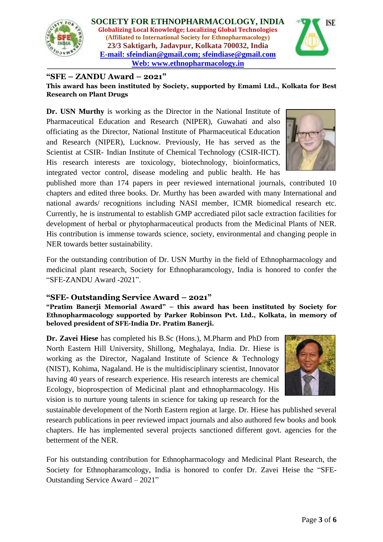

**SOCIETY FOR ETHNOPHARMACOLOGY, INDIA Globalizing Local Knowledge; Localizing Global Technologies (Affiliated to International Society for Ethnopharmacology) 23/3 Saktigarh, Jadavpur, Kolkata 700032, India E-mail: [sfeindian@gmail.com;](mailto:sfeindian@gmail.com) sfeindiase@gmail.com Web: [www.ethnopharmacology.in](http://www.ethnopharmacology.in/)**



#### **"SFE – ZANDU Award – 2021"**

**This award has been instituted by Society, supported by Emami Ltd., Kolkata for Best Research on Plant Drugs**

**Dr. USN Murthy** is working as the Director in the National Institute of Pharmaceutical Education and Research (NIPER), Guwahati and also officiating as the Director, National Institute of Pharmaceutical Education and Research (NIPER), Lucknow. Previously, He has served as the Scientist at CSIR- Indian Institute of Chemical Technology (CSIR-IICT). His research interests are toxicology, biotechnology, bioinformatics, integrated vector control, disease modeling and public health. He has



published more than 174 papers in peer reviewed international journals, contributed 10 chapters and edited three books. Dr. Murthy has been awarded with many International and national awards/ recognitions including NASI member, ICMR biomedical research etc. Currently, he is instrumental to establish GMP accrediated pilot sacle extraction facilities for development of herbal or phytopharmaceutical products from the Medicinal Plants of NER. His contribution is immense towards science, society, environmental and changing people in NER towards better sustainability.

For the outstanding contribution of Dr. USN Murthy in the field of Ethnopharmacology and medicinal plant research, Society for Ethnopharamcology, India is honored to confer the "SFE-ZANDU Award -2021".

#### **"SFE- Outstanding Service Award – 2021"**

**"Pratim Banerji Memorial Award" – this award has been instituted by Society for Ethnopharmacology supported by Parker Robinson Pvt. Ltd., Kolkata, in memory of beloved president of SFE-India Dr. Pratim Banerji.**

**Dr. Zavei Hiese** has completed his B.Sc (Hons.), M.Pharm and PhD from North Eastern Hill University, Shillong, Meghalaya, India. Dr. Hiese is working as the Director, Nagaland Institute of Science & Technology (NIST), Kohima, Nagaland. He is the multidisciplinary scientist, Innovator having 40 years of research experience. His research interests are chemical Ecology, bioprospection of Medicinal plant and ethnopharmacology. His vision is to nurture young talents in science for taking up research for the



sustainable development of the North Eastern region at large. Dr. Hiese has published several research publications in peer reviewed impact journals and also authored few books and book chapters. He has implemented several projects sanctioned different govt. agencies for the betterment of the NER.

For his outstanding contribution for Ethnopharmacology and Medicinal Plant Research, the Society for Ethnopharamcology, India is honored to confer Dr. Zavei Heise the "SFE-Outstanding Service Award – 2021"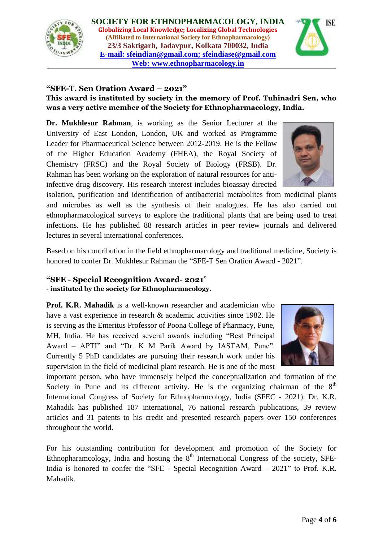



#### **"SFE-T. Sen Oration Award – 2021"**

#### **This award is instituted by society in the memory of Prof. Tuhinadri Sen, who was a very active member of the Society for Ethnopharmacology, India.**

**Dr. Mukhlesur Rahman**, is working as the Senior Lecturer at the University of East London, London, UK and worked as Programme Leader for Pharmaceutical Science between 2012-2019. He is the Fellow of the Higher Education Academy (FHEA), the Royal Society of Chemistry (FRSC) and the Royal Society of Biology (FRSB). Dr. Rahman has been working on the exploration of natural resources for antiinfective drug discovery. His research interest includes bioassay directed

isolation, purification and identification of antibacterial metabolites from medicinal plants and microbes as well as the synthesis of their analogues. He has also carried out ethnopharmacological surveys to explore the traditional plants that are being used to treat infections. He has published 88 research articles in peer review journals and delivered lectures in several international conferences.

Based on his contribution in the field ethnopharmacology and traditional medicine, Society is honored to confer Dr. Mukhlesur Rahman the "SFE-T Sen Oration Award - 2021".

#### **"SFE - Special Recognition Award- 2021**" **- instituted by the society for Ethnopharmacology.**

**Prof. K.R. Mahadik** is a well-known researcher and academician who have a vast experience in research & academic activities since 1982. He is serving as the Emeritus Professor of Poona College of Pharmacy, Pune, MH, India. He has received several awards including "Best Principal Award – APTI" and "Dr. K M Parik Award by IASTAM, Pune". Currently 5 PhD candidates are pursuing their research work under his

supervision in the field of medicinal plant research. He is one of the most important person, who have immensely helped the conceptualization and formation of the Society in Pune and its different activity. He is the organizing chairman of the  $8<sup>th</sup>$ International Congress of Society for Ethnopharmcology, India (SFEC - 2021). Dr. K.R. Mahadik has published 187 international, 76 national research publications, 39 review articles and 31 patents to his credit and presented research papers over 150 conferences throughout the world.

For his outstanding contribution for development and promotion of the Society for Ethnopharamcology, India and hosting the  $8<sup>th</sup>$  International Congress of the society, SFE-India is honored to confer the "SFE - Special Recognition Award – 2021" to Prof. K.R. Mahadik.

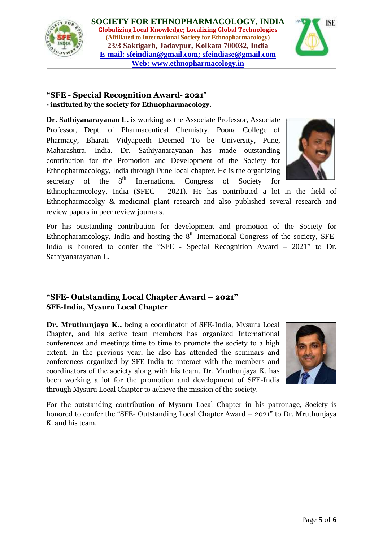



### **"SFE - Special Recognition Award- 2021**" **- instituted by the society for Ethnopharmacology.**

**Dr. Sathiyanarayanan L.** is working as the Associate Professor, Associate Professor, Dept. of Pharmaceutical Chemistry, Poona College of Pharmacy, Bharati Vidyapeeth Deemed To be University, Pune, Maharashtra, India. Dr. Sathiyanarayanan has made outstanding contribution for the Promotion and Development of the Society for Ethnopharmacology, India through Pune local chapter. He is the organizing secretary of the  $8<sup>th</sup>$  International Congress of Society for

Ethnopharmcology, India (SFEC - 2021). He has contributed a lot in the field of Ethnopharmacolgy & medicinal plant research and also published several research and review papers in peer review journals.

For his outstanding contribution for development and promotion of the Society for Ethnopharamcology, India and hosting the  $8<sup>th</sup>$  International Congress of the society, SFE-India is honored to confer the "SFE - Special Recognition Award – 2021" to Dr. Sathiyanarayanan L.

# **"SFE- Outstanding Local Chapter Award – 2021" SFE-India, Mysuru Local Chapter**

**Dr. Mruthunjaya K.,** being a coordinator of SFE-India, Mysuru Local Chapter, and his active team members has organized International conferences and meetings time to time to promote the society to a high extent. In the previous year, he also has attended the seminars and conferences organized by SFE-India to interact with the members and coordinators of the society along with his team. Dr. Mruthunjaya K. has been working a lot for the promotion and development of SFE-India through Mysuru Local Chapter to achieve the mission of the society.



For the outstanding contribution of Mysuru Local Chapter in his patronage, Society is honored to confer the "SFE- Outstanding Local Chapter Award – 2021" to Dr. Mruthunjaya K. and his team.